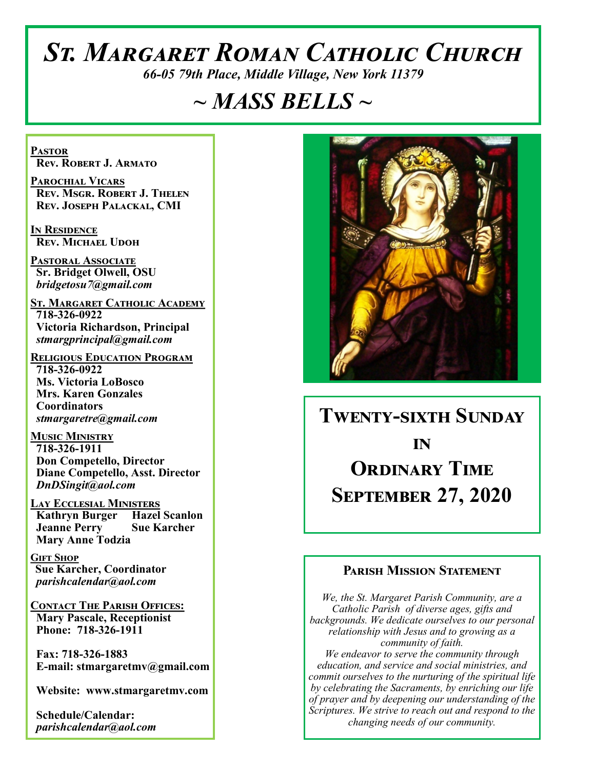# *St. Margaret Roman Catholic Church*

*66-05 79th Place, Middle Village, New York 11379*

## *~ MASS BELLS ~*

**Pastor Rev. Robert J. Armato**

**Parochial Vicars Rev. Msgr. Robert J. Thelen Rev. Joseph Palackal, CMI**

**In Residence Rev. Michael Udoh**

**Pastoral Associate Sr. Bridget Olwell, OSU**  *bridgetosu7@gmail.com*

**St. Margaret Catholic Academy 718-326-0922 Victoria Richardson, Principal**  *stmargprincipal@gmail.com*

**Religious Education Program 718-326-0922 Ms. Victoria LoBosco Mrs. Karen Gonzales Coordinators** *stmargaretre@gmail.com*

**Music Ministry 718-326-1911 Don Competello, Director Diane Competello, Asst. Director** *DnDSingit@aol.com*

**Lay Ecclesial Ministers Kathryn Burger Hazel Scanlon Jeanne Perry Sue Karcher Mary Anne Todzia**

**Gift Shop Sue Karcher, Coordinator** *parishcalendar@aol.com*

**Contact The Parish Offices: Mary Pascale, Receptionist Phone: 718-326-1911** 

 **Fax: 718-326-1883 E-mail: stmargaretmv@gmail.com**

 **Website: www.stmargaretmv.com**

 **Schedule/Calendar:** *parishcalendar@aol.com* 



## **Twenty-sixth Sunday in Ordinary Time September 27, 2020**

#### **Parish Mission Statement**

*We, the St. Margaret Parish Community, are a Catholic Parish of diverse ages, gifts and backgrounds. We dedicate ourselves to our personal relationship with Jesus and to growing as a community of faith. We endeavor to serve the community through education, and service and social ministries, and commit ourselves to the nurturing of the spiritual life by celebrating the Sacraments, by enriching our life of prayer and by deepening our understanding of the Scriptures. We strive to reach out and respond to the changing needs of our community.*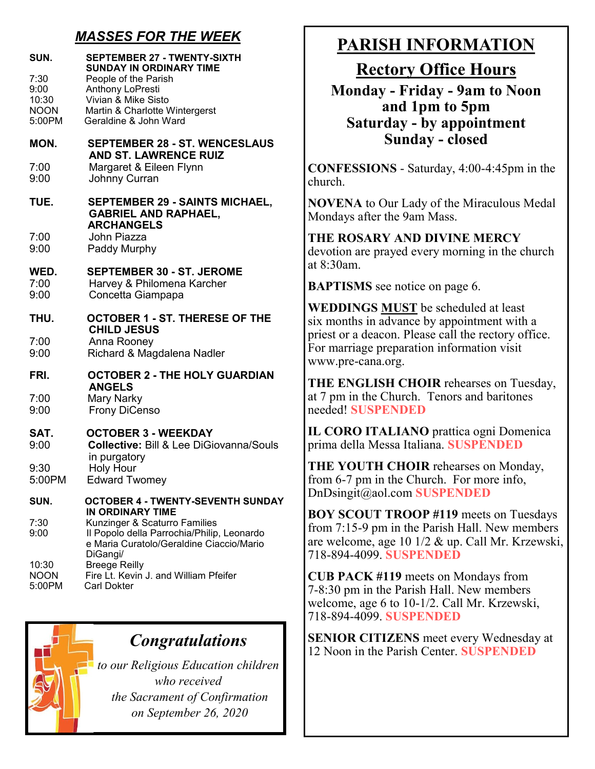## *MASSES FOR THE WEEK*

| SUN.<br>7:30          | <b>SEPTEMBER 27 - TWENTY-SIXTH</b><br><b>SUNDAY IN ORDINARY TIME</b><br>People of the Parish       |
|-----------------------|----------------------------------------------------------------------------------------------------|
| 9:00                  | Anthony LoPresti                                                                                   |
| 10:30                 | Vivian & Mike Sisto                                                                                |
| <b>NOON</b><br>5:00PM | Martin & Charlotte Wintergerst<br>Geraldine & John Ward                                            |
|                       |                                                                                                    |
| MON.                  | <b>SEPTEMBER 28 - ST. WENCESLAUS</b><br><b>AND ST. LAWRENCE RUIZ</b>                               |
| 7:00<br>9:00          | Margaret & Eileen Flynn<br>Johnny Curran                                                           |
| TUE.                  | <b>SEPTEMBER 29 - SAINTS MICHAEL,</b><br><b>GABRIEL AND RAPHAEL,</b><br><b>ARCHANGELS</b>          |
| 7:00<br>9:00          | John Piazza<br>Paddy Murphy                                                                        |
| WED.                  | <b>SEPTEMBER 30 - ST. JEROME</b>                                                                   |
| 7:00                  | Harvey & Philomena Karcher                                                                         |
| 9:00                  | Concetta Giampapa                                                                                  |
| THU.                  | <b>OCTOBER 1 - ST. THERESE OF THE</b><br><b>CHILD JESUS</b>                                        |
| 7:00                  | Anna Rooney                                                                                        |
| 9:00                  | Richard & Magdalena Nadler                                                                         |
| FRI.                  | <b>OCTOBER 2 - THE HOLY GUARDIAN</b><br><b>ANGELS</b>                                              |
| 7:00                  | <b>Mary Narky</b>                                                                                  |
| 9:00                  | <b>Frony DiCenso</b>                                                                               |
| SAT.<br>9:00          | <b>OCTOBER 3 - WEEKDAY</b><br><b>Collective: Bill &amp; Lee DiGiovanna/Souls</b><br>in purgatory   |
| 9:30                  | <b>Holy Hour</b>                                                                                   |
| 5:00PM                | <b>Edward Twomey</b>                                                                               |
|                       |                                                                                                    |
| SUN.                  | <b>OCTOBER 4 - TWENTY-SEVENTH SUNDAY</b><br><b>IN ORDINARY TIME</b>                                |
| 7:30                  | Kunzinger & Scaturro Families                                                                      |
| 9:00                  | Il Popolo della Parrochia/Philip, Leonardo<br>e Maria Curatolo/Geraldine Ciaccio/Mario<br>DiGangi/ |
| 10:30                 | <b>Breege Reilly</b>                                                                               |
| <b>NOON</b>           | Fire Lt. Kevin J. and William Pfeifer                                                              |
| 5:00PM                | <b>Carl Dokter</b>                                                                                 |

## **PARISH INFORMATION**

**Rectory Office Hours** 

**Monday - Friday - 9am to Noon and 1pm to 5pm Saturday - by appointment Sunday - closed**

**CONFESSIONS** - Saturday, 4:00-4:45pm in the church.

**NOVENA** to Our Lady of the Miraculous Medal Mondays after the 9am Mass.

**THE ROSARY AND DIVINE MERCY** devotion are prayed every morning in the church at 8:30am.

**BAPTISMS** see notice on page 6.

**WEDDINGS MUST** be scheduled at least six months in advance by appointment with a priest or a deacon. Please call the rectory office. For marriage preparation information visit www.pre-cana.org.

**THE ENGLISH CHOIR** rehearses on Tuesday, at 7 pm in the Church. Tenors and baritones needed! **SUSPENDED**

**IL CORO ITALIANO** prattica ogni Domenica prima della Messa Italiana. **SUSPENDED**

**THE YOUTH CHOIR** rehearses on Monday, from 6-7 pm in the Church. For more info, DnDsingit@aol.com **SUSPENDED**

**BOY SCOUT TROOP #119** meets on Tuesdays from 7:15-9 pm in the Parish Hall. New members are welcome, age 10 1/2 & up. Call Mr. Krzewski, 718-894-4099. **SUSPENDED**

**CUB PACK #119** meets on Mondays from 7-8:30 pm in the Parish Hall. New members welcome, age 6 to 10-1/2. Call Mr. Krzewski, 718-894-4099. **SUSPENDED**

**SENIOR CITIZENS** meet every Wednesday at 12 Noon in the Parish Center. **SUSPENDED**



*to our Religious Education children who received the Sacrament of Confirmation on September 26, 2020*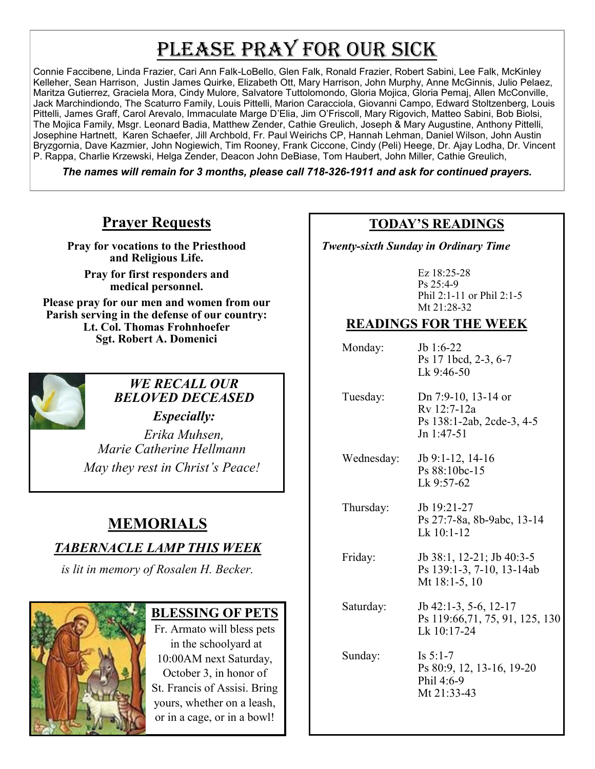## PLEASE PRAY FOR OUR SICK

Connie Faccibene, Linda Frazier, Cari Ann Falk-LoBello, Glen Falk, Ronald Frazier, Robert Sabini, Lee Falk, McKinley Kelleher, Sean Harrison, Justin James Quirke, Elizabeth Ott, Mary Harrison, John Murphy, Anne McGinnis, Julio Pelaez, Maritza Gutierrez, Graciela Mora, Cindy Mulore, Salvatore Tuttolomondo, Gloria Mojica, Gloria Pemaj, Allen McConville, Jack Marchindiondo, The Scaturro Family, Louis Pittelli, Marion Caracciola, Giovanni Campo, Edward Stoltzenberg, Louis Pittelli, James Graff, Carol Arevalo, Immaculate Marge D'Elia, Jim O'Friscoll, Mary Rigovich, Matteo Sabini, Bob Biolsi, The Mojica Family, Msgr. Leonard Badia, Matthew Zender, Cathie Greulich, Joseph & Mary Augustine, Anthony Pittelli, Josephine Hartnett, Karen Schaefer, Jill Archbold, Fr. Paul Weirichs CP, Hannah Lehman, Daniel Wilson, John Austin Bryzgornia, Dave Kazmier, John Nogiewich, Tim Rooney, Frank Ciccone, Cindy (Peli) Heege, Dr. Ajay Lodha, Dr. Vincent P. Rappa, Charlie Krzewski, Helga Zender, Deacon John DeBiase, Tom Haubert, John Miller, Cathie Greulich,

*The names will remain for 3 months, please call 718-326-1911 and ask for continued prayers.*

## **Prayer Requests**

**Pray for vocations to the Priesthood and Religious Life.** 

**Pray for first responders and medical personnel.**

**Please pray for our men and women from our Parish serving in the defense of our country: Lt. Col. Thomas Frohnhoefer Sgt. Robert A. Domenici** 



## *WE RECALL OUR BELOVED DECEASED*

*Especially: Erika Muhsen, Marie Catherine Hellmann May they rest in Christ's Peace!*

## **MEMORIALS**

## *TABERNACLE LAMP THIS WEEK*

*is lit in memory of Rosalen H. Becker.*



#### **BLESSING OF PETS**

Fr. Armato will bless pets in the schoolyard at 10:00AM next Saturday, October 3, in honor of St. Francis of Assisi. Bring yours, whether on a leash, or in a cage, or in a bowl!

### **TODAY'S READINGS**

 *Twenty-sixth Sunday in Ordinary Time*

Ez 18:25-28 Ps 25:4-9 Phil 2:1-11 or Phil 2:1-5 Mt 21:28-32

### **READINGS FOR THE WEEK**

Monday: Jb 1:6-22 Ps 17 1bcd, 2-3, 6-7 Lk 9:46-50

 Tuesday: Dn 7:9-10, 13-14 or Rv 12:7-12a Ps 138:1-2ab, 2cde-3, 4-5 Jn 1:47-51

 Wednesday: Jb 9:1-12, 14-16 Ps 88:10bc-15 Lk 9:57-62

 Thursday: Jb 19:21-27 Ps 27:7-8a, 8b-9abc, 13-14 Lk 10:1-12

Friday: **Jb** 38:1, 12-21; Jb 40:3-5 Ps 139:1-3, 7-10, 13-14ab Mt 18:1-5, 10

 Saturday: Jb 42:1-3, 5-6, 12-17 Ps 119:66,71, 75, 91, 125, 130 Lk 10:17-24

Sunday: Is 5:1-7 Ps 80:9, 12, 13-16, 19-20 Phil 4:6-9 Mt 21:33-43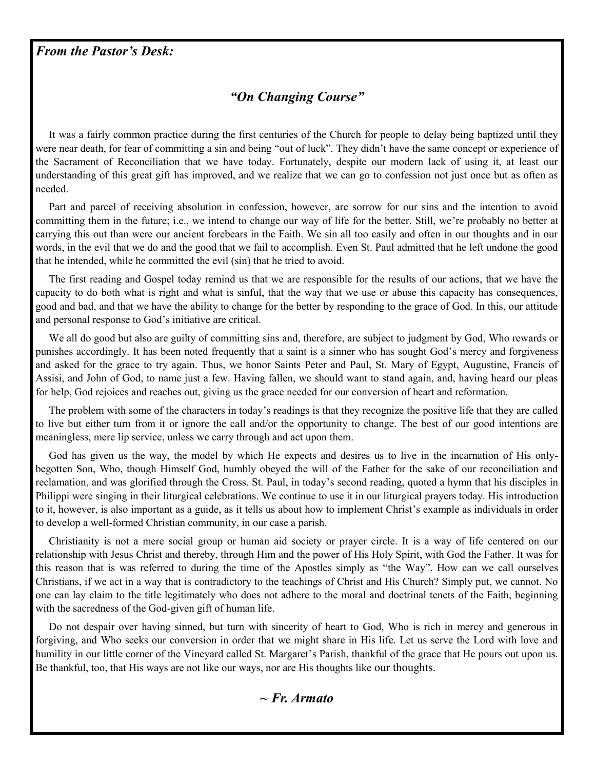## *"On Changing Course"*

 It was a fairly common practice during the first centuries of the Church for people to delay being baptized until they were near death, for fear of committing a sin and being "out of luck". They didn't have the same concept or experience of the Sacrament of Reconciliation that we have today. Fortunately, despite our modern lack of using it, at least our understanding of this great gift has improved, and we realize that we can go to confession not just once but as often as needed.

 Part and parcel of receiving absolution in confession, however, are sorrow for our sins and the intention to avoid committing them in the future; i.e., we intend to change our way of life for the better. Still, we're probably no better at carrying this out than were our ancient forebears in the Faith. We sin all too easily and often in our thoughts and in our words, in the evil that we do and the good that we fail to accomplish. Even St. Paul admitted that he left undone the good that he intended, while he committed the evil (sin) that he tried to avoid.

 The first reading and Gospel today remind us that we are responsible for the results of our actions, that we have the capacity to do both what is right and what is sinful, that the way that we use or abuse this capacity has consequences, good and bad, and that we have the ability to change for the better by responding to the grace of God. In this, our attitude and personal response to God's initiative are critical.

 We all do good but also are guilty of committing sins and, therefore, are subject to judgment by God, Who rewards or punishes accordingly. It has been noted frequently that a saint is a sinner who has sought God's mercy and forgiveness and asked for the grace to try again. Thus, we honor Saints Peter and Paul, St. Mary of Egypt, Augustine, Francis of Assisi, and John of God, to name just a few. Having fallen, we should want to stand again, and, having heard our pleas for help, God rejoices and reaches out, giving us the grace needed for our conversion of heart and reformation.

 The problem with some of the characters in today's readings is that they recognize the positive life that they are called to live but either turn from it or ignore the call and/or the opportunity to change. The best of our good intentions are meaningless, mere lip service, unless we carry through and act upon them.

 God has given us the way, the model by which He expects and desires us to live in the incarnation of His onlybegotten Son, Who, though Himself God, humbly obeyed the will of the Father for the sake of our reconciliation and reclamation, and was glorified through the Cross. St. Paul, in today's second reading, quoted a hymn that his disciples in Philippi were singing in their liturgical celebrations. We continue to use it in our liturgical prayers today. His introduction to it, however, is also important as a guide, as it tells us about how to implement Christ's example as individuals in order to develop a well-formed Christian community, in our case a parish.

 Christianity is not a mere social group or human aid society or prayer circle. It is a way of life centered on our relationship with Jesus Christ and thereby, through Him and the power of His Holy Spirit, with God the Father. It was for this reason that is was referred to during the time of the Apostles simply as "the Way". How can we call ourselves Christians, if we act in a way that is contradictory to the teachings of Christ and His Church? Simply put, we cannot. No one can lay claim to the title legitimately who does not adhere to the moral and doctrinal tenets of the Faith, beginning with the sacredness of the God-given gift of human life.

 Do not despair over having sinned, but turn with sincerity of heart to God, Who is rich in mercy and generous in forgiving, and Who seeks our conversion in order that we might share in His life. Let us serve the Lord with love and humility in our little corner of the Vineyard called St. Margaret's Parish, thankful of the grace that He pours out upon us. Be thankful, too, that His ways are not like our ways, nor are His thoughts like our thoughts.

#### *~ Fr. Armato*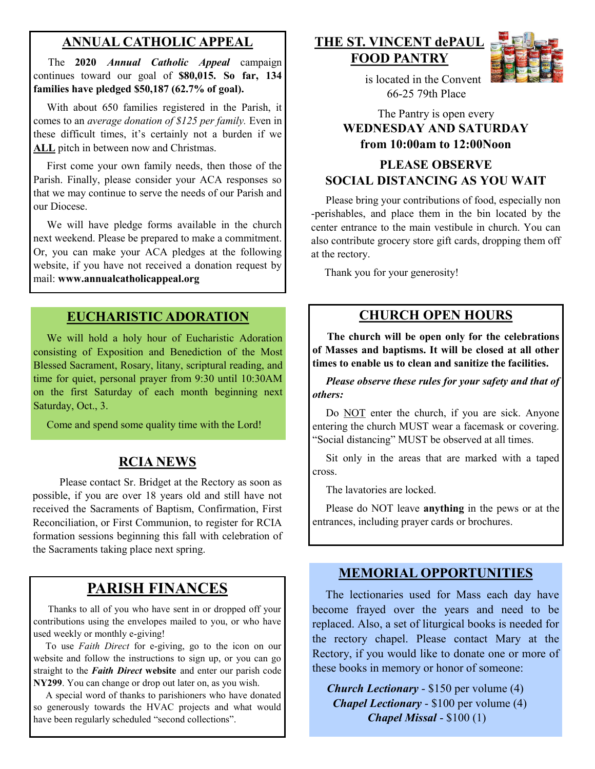### **ANNUAL CATHOLIC APPEAL**

 The **2020** *Annual Catholic Appeal* campaign continues toward our goal of **\$80,015. So far, 134 families have pledged \$50,187 (62.7% of goal).** 

With about 650 families registered in the Parish, it comes to an *average donation of \$125 per family.* Even in these difficult times, it's certainly not a burden if we **ALL** pitch in between now and Christmas.

 First come your own family needs, then those of the Parish. Finally, please consider your ACA responses so that we may continue to serve the needs of our Parish and our Diocese.

 We will have pledge forms available in the church next weekend. Please be prepared to make a commitment. Or, you can make your ACA pledges at the following website, if you have not received a donation request by mail: **www.annualcatholicappeal.org** 

#### **EUCHARISTIC ADORATION**

 We will hold a holy hour of Eucharistic Adoration consisting of Exposition and Benediction of the Most Blessed Sacrament, Rosary, litany, scriptural reading, and time for quiet, personal prayer from 9:30 until 10:30AM on the first Saturday of each month beginning next Saturday, Oct., 3.

Come and spend some quality time with the Lord!

#### **RCIA NEWS**

 Please contact Sr. Bridget at the Rectory as soon as possible, if you are over 18 years old and still have not received the Sacraments of Baptism, Confirmation, First Reconciliation, or First Communion, to register for RCIA formation sessions beginning this fall with celebration of the Sacraments taking place next spring.

## **PARISH FINANCES**

 Thanks to all of you who have sent in or dropped off your contributions using the envelopes mailed to you, or who have used weekly or monthly e-giving!

 To use *Faith Direct* for e-giving, go to the icon on our website and follow the instructions to sign up, or you can go straight to the *Faith Direct* **website** and enter our parish code **NY299**. You can change or drop out later on, as you wish.

 A special word of thanks to parishioners who have donated so generously towards the HVAC projects and what would have been regularly scheduled "second collections".

#### **THE ST. VINCENT dePAUL FOOD PANTRY**



 is located in the Convent 66-25 79th Place

#### The Pantry is open every **WEDNESDAY AND SATURDAY from 10:00am to 12:00Noon**

#### **PLEASE OBSERVE SOCIAL DISTANCING AS YOU WAIT**

 Please bring your contributions of food, especially non -perishables, and place them in the bin located by the center entrance to the main vestibule in church. You can also contribute grocery store gift cards, dropping them off at the rectory.

Thank you for your generosity!

### **CHURCH OPEN HOURS**

 **The church will be open only for the celebrations of Masses and baptisms. It will be closed at all other times to enable us to clean and sanitize the facilities.** 

 *Please observe these rules for your safety and that of others:* 

Do NOT enter the church, if you are sick. Anyone entering the church MUST wear a facemask or covering. "Social distancing" MUST be observed at all times.

 Sit only in the areas that are marked with a taped cross.

The lavatories are locked.

 Please do NOT leave **anything** in the pews or at the entrances, including prayer cards or brochures.

#### **MEMORIAL OPPORTUNITIES**

 The lectionaries used for Mass each day have become frayed over the years and need to be replaced. Also, a set of liturgical books is needed for the rectory chapel. Please contact Mary at the Rectory, if you would like to donate one or more of these books in memory or honor of someone:

 *Church Lectionary* - \$150 per volume (4) *Chapel Lectionary* - \$100 per volume (4) *Chapel Missal* - \$100 (1)